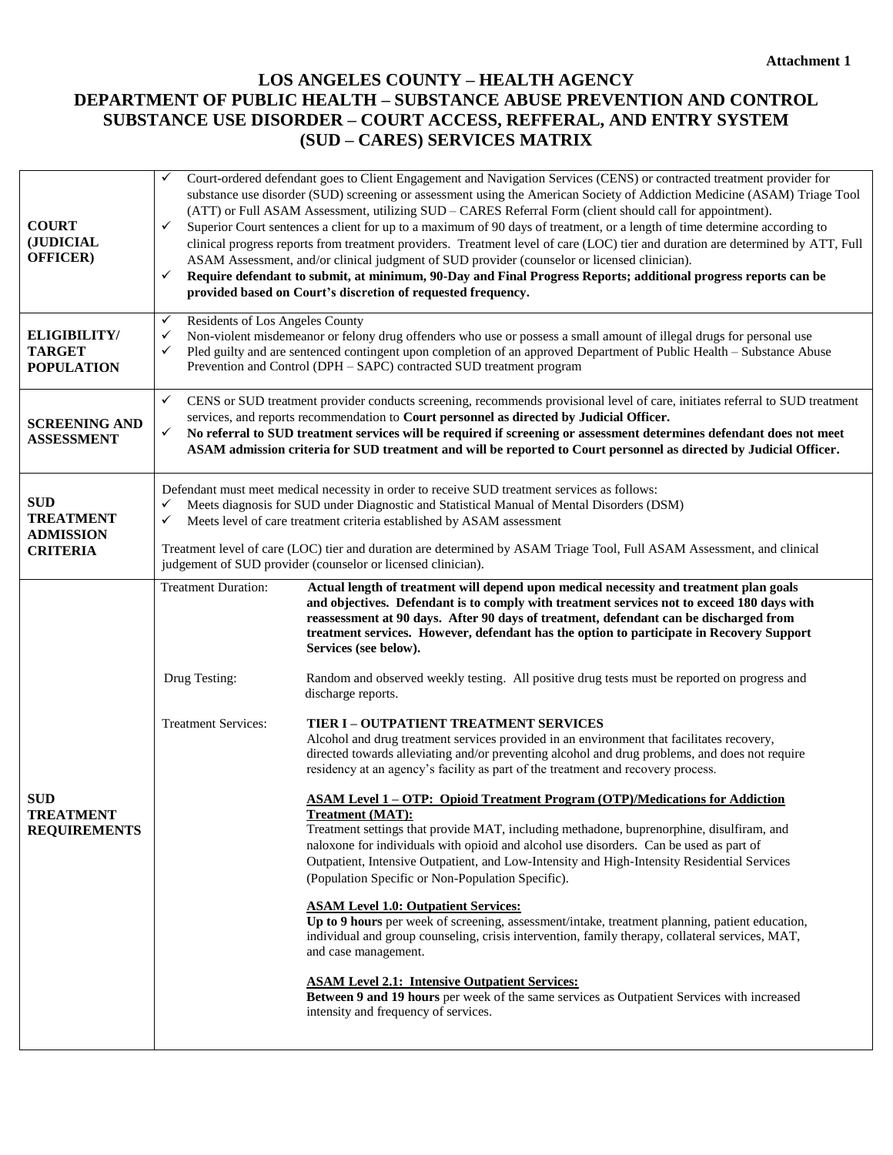## **LOS ANGELES COUNTY – HEALTH AGENCY DEPARTMENT OF PUBLIC HEALTH – SUBSTANCE ABUSE PREVENTION AND CONTROL SUBSTANCE USE DISORDER – COURT ACCESS, REFFERAL, AND ENTRY SYSTEM (SUD – CARES) SERVICES MATRIX**

| <b>COURT</b><br>(JUDICIAL<br><b>OFFICER</b> )                         | Court-ordered defendant goes to Client Engagement and Navigation Services (CENS) or contracted treatment provider for<br>✓<br>substance use disorder (SUD) screening or assessment using the American Society of Addiction Medicine (ASAM) Triage Tool<br>(ATT) or Full ASAM Assessment, utilizing SUD - CARES Referral Form (client should call for appointment).<br>$\checkmark$<br>Superior Court sentences a client for up to a maximum of 90 days of treatment, or a length of time determine according to<br>clinical progress reports from treatment providers. Treatment level of care (LOC) tier and duration are determined by ATT, Full<br>ASAM Assessment, and/or clinical judgment of SUD provider (counselor or licensed clinician).<br>Require defendant to submit, at minimum, 90-Day and Final Progress Reports; additional progress reports can be<br>✓<br>provided based on Court's discretion of requested frequency. |                                                                                                                                                                                                                                                                                                                                                                                                                                                                                                                                                                                                                                                                                                                                                                                                                                                                                                                                                                                                                                                                                                                                                                                                                                                                                                                                                                                                                                                                                                                                                                                                                                                                                                                                                                                              |  |
|-----------------------------------------------------------------------|-------------------------------------------------------------------------------------------------------------------------------------------------------------------------------------------------------------------------------------------------------------------------------------------------------------------------------------------------------------------------------------------------------------------------------------------------------------------------------------------------------------------------------------------------------------------------------------------------------------------------------------------------------------------------------------------------------------------------------------------------------------------------------------------------------------------------------------------------------------------------------------------------------------------------------------------|----------------------------------------------------------------------------------------------------------------------------------------------------------------------------------------------------------------------------------------------------------------------------------------------------------------------------------------------------------------------------------------------------------------------------------------------------------------------------------------------------------------------------------------------------------------------------------------------------------------------------------------------------------------------------------------------------------------------------------------------------------------------------------------------------------------------------------------------------------------------------------------------------------------------------------------------------------------------------------------------------------------------------------------------------------------------------------------------------------------------------------------------------------------------------------------------------------------------------------------------------------------------------------------------------------------------------------------------------------------------------------------------------------------------------------------------------------------------------------------------------------------------------------------------------------------------------------------------------------------------------------------------------------------------------------------------------------------------------------------------------------------------------------------------|--|
| <b>ELIGIBILITY/</b><br><b>TARGET</b><br><b>POPULATION</b>             | Residents of Los Angeles County<br>$\checkmark$<br>Non-violent misdemeanor or felony drug offenders who use or possess a small amount of illegal drugs for personal use<br>✓<br>$\checkmark$<br>Pled guilty and are sentenced contingent upon completion of an approved Department of Public Health – Substance Abuse<br>Prevention and Control (DPH - SAPC) contracted SUD treatment program                                                                                                                                                                                                                                                                                                                                                                                                                                                                                                                                             |                                                                                                                                                                                                                                                                                                                                                                                                                                                                                                                                                                                                                                                                                                                                                                                                                                                                                                                                                                                                                                                                                                                                                                                                                                                                                                                                                                                                                                                                                                                                                                                                                                                                                                                                                                                              |  |
| <b>SCREENING AND</b><br><b>ASSESSMENT</b>                             | $\checkmark$<br>CENS or SUD treatment provider conducts screening, recommends provisional level of care, initiates referral to SUD treatment<br>services, and reports recommendation to Court personnel as directed by Judicial Officer.<br>No referral to SUD treatment services will be required if screening or assessment determines defendant does not meet<br>$\checkmark$<br>ASAM admission criteria for SUD treatment and will be reported to Court personnel as directed by Judicial Officer.                                                                                                                                                                                                                                                                                                                                                                                                                                    |                                                                                                                                                                                                                                                                                                                                                                                                                                                                                                                                                                                                                                                                                                                                                                                                                                                                                                                                                                                                                                                                                                                                                                                                                                                                                                                                                                                                                                                                                                                                                                                                                                                                                                                                                                                              |  |
| <b>SUD</b><br><b>TREATMENT</b><br><b>ADMISSION</b><br><b>CRITERIA</b> | Defendant must meet medical necessity in order to receive SUD treatment services as follows:<br>Meets diagnosis for SUD under Diagnostic and Statistical Manual of Mental Disorders (DSM)<br>✓<br>✓<br>Meets level of care treatment criteria established by ASAM assessment<br>Treatment level of care (LOC) tier and duration are determined by ASAM Triage Tool, Full ASAM Assessment, and clinical<br>judgement of SUD provider (counselor or licensed clinician).                                                                                                                                                                                                                                                                                                                                                                                                                                                                    |                                                                                                                                                                                                                                                                                                                                                                                                                                                                                                                                                                                                                                                                                                                                                                                                                                                                                                                                                                                                                                                                                                                                                                                                                                                                                                                                                                                                                                                                                                                                                                                                                                                                                                                                                                                              |  |
| <b>SUD</b><br><b>TREATMENT</b><br><b>REQUIREMENTS</b>                 | <b>Treatment Duration:</b><br>Drug Testing:<br><b>Treatment Services:</b>                                                                                                                                                                                                                                                                                                                                                                                                                                                                                                                                                                                                                                                                                                                                                                                                                                                                 | Actual length of treatment will depend upon medical necessity and treatment plan goals<br>and objectives. Defendant is to comply with treatment services not to exceed 180 days with<br>reassessment at 90 days. After 90 days of treatment, defendant can be discharged from<br>treatment services. However, defendant has the option to participate in Recovery Support<br>Services (see below).<br>Random and observed weekly testing. All positive drug tests must be reported on progress and<br>discharge reports.<br>TIER I - OUTPATIENT TREATMENT SERVICES<br>Alcohol and drug treatment services provided in an environment that facilitates recovery,<br>directed towards alleviating and/or preventing alcohol and drug problems, and does not require<br>residency at an agency's facility as part of the treatment and recovery process.<br><b>ASAM Level 1 – OTP: Opioid Treatment Program (OTP)/Medications for Addiction</b><br><b>Treatment (MAT):</b><br>Treatment settings that provide MAT, including methadone, buprenorphine, disulfiram, and<br>naloxone for individuals with opioid and alcohol use disorders. Can be used as part of<br>Outpatient, Intensive Outpatient, and Low-Intensity and High-Intensity Residential Services<br>(Population Specific or Non-Population Specific).<br><b>ASAM Level 1.0: Outpatient Services:</b><br>Up to 9 hours per week of screening, assessment/intake, treatment planning, patient education,<br>individual and group counseling, crisis intervention, family therapy, collateral services, MAT,<br>and case management.<br><b>ASAM Level 2.1: Intensive Outpatient Services:</b><br>Between 9 and 19 hours per week of the same services as Outpatient Services with increased<br>intensity and frequency of services. |  |